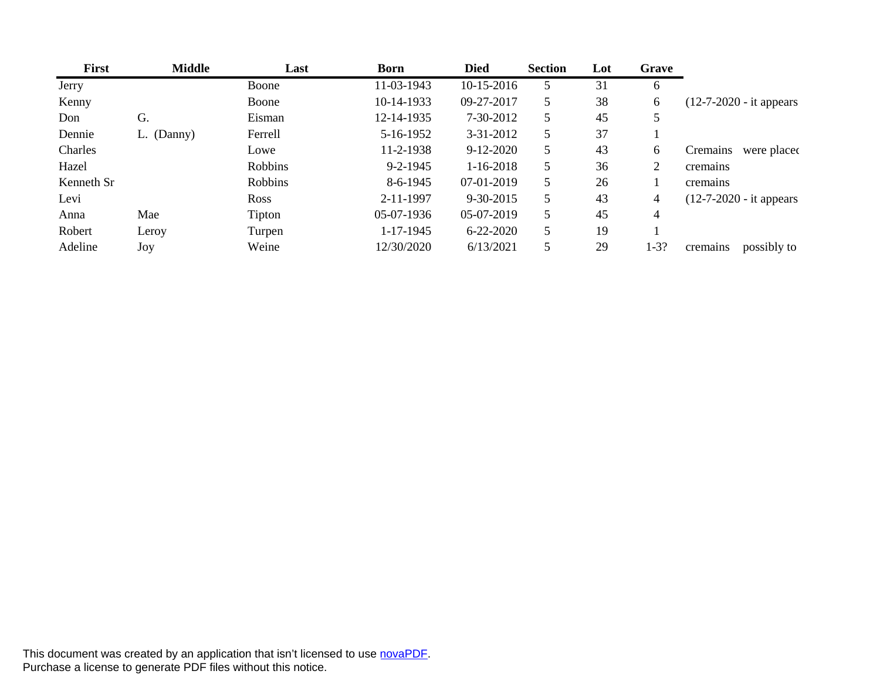| First      | <b>Middle</b> | Last    | Born           | <b>Died</b>     | <b>Section</b> | Lot | Grave  |                            |
|------------|---------------|---------|----------------|-----------------|----------------|-----|--------|----------------------------|
| Jerry      |               | Boone   | 11-03-1943     | 10-15-2016      |                |     |        |                            |
| Kenny      |               | Boone   | 10-14-1933     | 09-27-2017      |                | 38  |        | $(12-7-2020 - it appears)$ |
| Don        | G.            | Eisman  | 12-14-1935     | 7-30-2012       |                | 45  |        |                            |
| Dennie     | L. (Danny)    | Ferrell | 5-16-1952      | $3 - 31 - 2012$ |                | 37  |        |                            |
| Charles    |               | Lowe    | 11-2-1938      | 9-12-2020       |                | 43  |        | Cremains were placed       |
| Hazel      |               | Robbins | $9 - 2 - 1945$ | $1-16-2018$     |                | 36  |        | cremains                   |
| Kenneth Sr |               | Robbins | 8-6-1945       | 07-01-2019      |                | 26  |        | cremains                   |
| Levi       |               | Ross    | 2-11-1997      | 9-30-2015       |                | 43  |        | $(12-7-2020 - it appears)$ |
| Anna       | Mae           | Tipton  | 05-07-1936     | 05-07-2019      |                | 45  |        |                            |
| Robert     | Leroy         | Turpen  | 1-17-1945      | 6-22-2020       |                | 19  |        |                            |
| Adeline    | Joy           | Weine   | 12/30/2020     | 6/13/2021       |                | 29  | $1-3?$ | cremains possibly to       |

This document was created by an application that isn't licensed to use [novaPDF.](http://www.novapdf.com/) Purchase a license to generate PDF files without this notice.